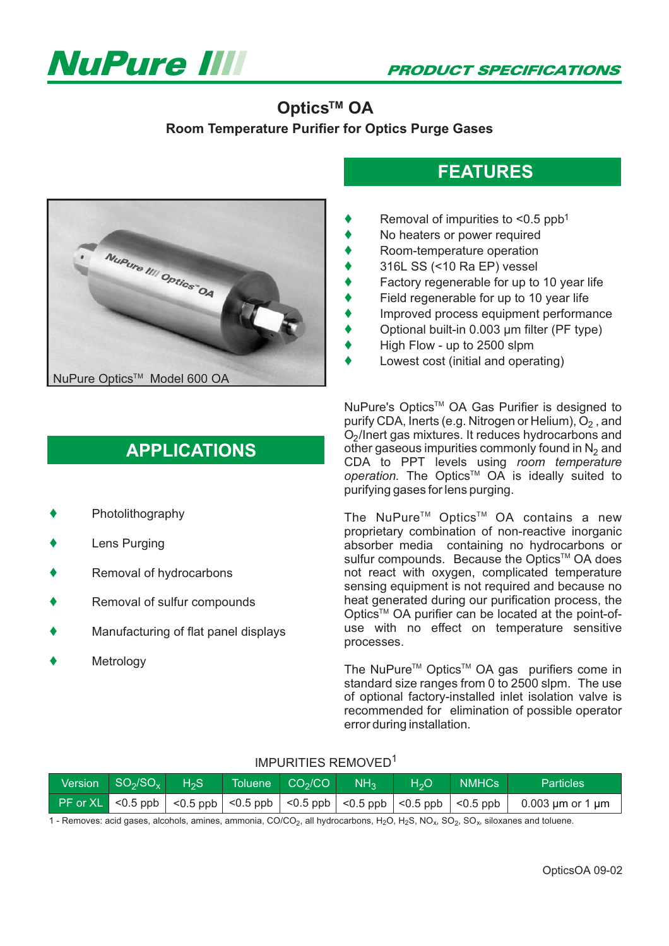

## **Optics™ OA**

**Room Temperature Purifier for Optics Purge Gases**



## **APPLICATIONS**

- $\blacklozenge$ Photolithography
- $\blacklozenge$ Lens Purging
- $\blacklozenge$ Removal of hydrocarbons
- $\blacklozenge$ Removal of sulfur compounds
- $\blacklozenge$ Manufacturing of flat panel displays
- $\blacklozenge$ **Metrology**

 $\blacklozenge$ Removal of impurities to  $\leq 0.5$  ppb<sup>1</sup>

- $\blacklozenge$ No heaters or power required
- $\blacklozenge$ Room-temperature operation
- $\blacklozenge$ 316L SS (<10 Ra EP) vessel
- $\blacklozenge$ Factory regenerable for up to 10 year life

**FEATURES**

- $\blacklozenge$ Field regenerable for up to 10 year life
- $\blacklozenge$ Improved process equipment performance
- $\blacklozenge$ Optional built-in 0.003 µm filter (PF type)
- $\blacklozenge$ High Flow - up to 2500 slpm
- $\blacklozenge$ Lowest cost (initial and operating)

NuPure's Optics™ OA Gas Purifier is designed to purify CDA, Inerts (e.g. Nitrogen or Helium),  $\rm \check{O}_2$  , and O<sub>2</sub>/Inert gas mixtures. It reduces hydrocarbons and other gaseous impurities commonly found in  $N_2$  and CDA to PPT levels using *room temperature* operation. The Optics<sup>™</sup> OA is ideally suited to purifying gases for lens purging.

The NuPure<sup>TM</sup> Optics<sup>TM</sup> OA contains a new proprietary combination of non-reactive inorganic absorber media containing no hydrocarbons or sulfur compounds. Because the Optics™ OA does not react with oxygen, complicated temperature sensing equipment is not required and because no heat generated during our purification process, the Optics<sup>™</sup> OA purifier can be located at the point-ofuse with no effect on temperature sensitive processes.

The NuPure<sup>™</sup> Optics<sup>™</sup> OA gas purifiers come in standard size ranges from 0 to 2500 slpm. The use of optional factory-installed inlet isolation valve is recommended for elimination of possible operator error during installation.

#### IMPURITIES REMOVED1

| Version $SO_2/SO_x$ $H_2S$ |  | Toluene $CO2/CO$ | <b>NH3</b> | H <sub>2</sub> O | NMHCs | <b>Particles</b>                                                                                                                                 |
|----------------------------|--|------------------|------------|------------------|-------|--------------------------------------------------------------------------------------------------------------------------------------------------|
|                            |  |                  |            |                  |       | PF or XL $\mid$ <0.5 ppb $\mid$ <0.5 ppb $\mid$ <0.5 ppb $\mid$ <0.5 ppb $\mid$ <0.5 ppb $\mid$ <0.5 ppb $\mid$ <0.6 ppb $\mid$ 0.003 µm or 1 µm |

1 - Removes: acid gases, alcohols, amines, ammonia, CO/CO<sub>2</sub>, all hydrocarbons, H<sub>2</sub>O, H<sub>2</sub>S, NO<sub>x</sub>, SO<sub>2</sub>, SO<sub>x</sub>, siloxanes and toluene.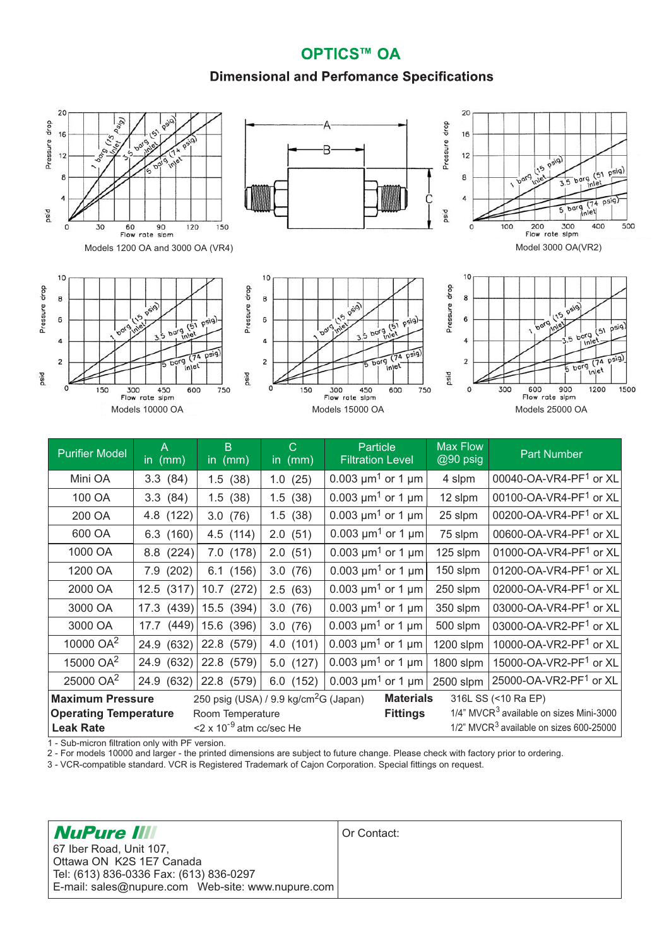### **OPTICS™ OA**

### **Dimensional and Perfomance Specifications**



| 200 OA                                                                       | 4.8 (122)    | 3.0(76)                                   | 1.5(38)  | 0.003 $\mu$ m <sup>1</sup> or 1 $\mu$ m | 25 slpm   | 00200-OA-VR4-PF1 or XL                              |
|------------------------------------------------------------------------------|--------------|-------------------------------------------|----------|-----------------------------------------|-----------|-----------------------------------------------------|
| 600 OA                                                                       | 6.3(160)     | 4.5 (114)                                 | 2.0(51)  | 0.003 $\mu$ m <sup>1</sup> or 1 $\mu$ m | 75 slpm   | 00600-OA-VR4-PF1 or XL                              |
| 1000 OA                                                                      | 8.8 (224)    | 7.0 (178)                                 | 2.0(51)  | 0.003 $\mu$ m <sup>1</sup> or 1 $\mu$ m | 125 slpm  | 01000-OA-VR4-PF1 or XL                              |
| 1200 OA                                                                      | 7.9 (202)    | 6.1(156)                                  | 3.0(76)  | 0.003 $\mu$ m <sup>1</sup> or 1 $\mu$ m | 150 slpm  | 01200-OA-VR4-PF1 or XL                              |
| 2000 OA                                                                      | 12.5(317)    | 10.7 (272)                                | 2.5(63)  | 0.003 $\mu$ m <sup>1</sup> or 1 $\mu$ m | 250 slpm  | 02000-OA-VR4-PF1 or XL                              |
| 3000 OA                                                                      | $17.3$ (439) | 15.5 (394)                                | 3.0(76)  | 0.003 $\mu$ m <sup>1</sup> or 1 $\mu$ m | 350 slpm  | 03000-OA-VR4-PF1 or XL                              |
| 3000 OA                                                                      | 17.7         | $(449)$ 15.6 (396)                        | 3.0(76)  | 0.003 $\mu$ m <sup>1</sup> or 1 $\mu$ m | 500 slpm  | 03000-OA-VR2-PF1 or XL                              |
| 10000 OA <sup>2</sup>                                                        | 24.9 (632)   | 22.8 (579)                                | 4.0(101) | 0.003 $\mu$ m <sup>1</sup> or 1 $\mu$ m | 1200 slpm | 10000-OA-VR2-PF1 or XL                              |
| 15000 OA <sup>2</sup>                                                        | 24.9 (632)   | 22.8 (579)                                | 5.0(127) | 0.003 $\mu$ m <sup>1</sup> or 1 $\mu$ m | 1800 slpm | 15000-OA-VR2-PF1 or XL                              |
| 25000 OA <sup>2</sup>                                                        | 24.9 (632)   | 22.8 (579)                                | 6.0(152) | 0.003 $\mu$ m <sup>1</sup> or 1 $\mu$ m | 2500 slpm | 25000-OA-VR2-PF1 or XL                              |
| 250 psig (USA) / 9.9 kg/cm <sup>2</sup> G (Japan)<br><b>Maximum Pressure</b> |              |                                           |          | <b>Materials</b>                        |           | 316L SS (<10 Ra EP)                                 |
| <b>Operating Temperature</b>                                                 |              | Room Temperature                          |          | <b>Fittings</b>                         |           | 1/4" MVCR <sup>3</sup> available on sizes Mini-3000 |
| <b>Leak Rate</b>                                                             |              | $\leq$ 2 x 10 <sup>-9</sup> atm cc/sec He |          |                                         |           | $1/2$ " MVCR $3$ available on sizes 600-25000       |

1 - Sub-micron filtration only with PF version.

2 - For models 10000 and larger - the printed dimensions are subject to future change. Please check with factory prior to ordering.

3 - VCR-compatible standard. VCR is Registered Trademark of Cajon Corporation. Special fittings on request.

| <b>NuPure III</b>                       | Or Contact: |
|-----------------------------------------|-------------|
| 67 Iber Road, Unit 107,                 |             |
| Ottawa ON K2S 1E7 Canada                |             |
| Tel: (613) 836-0336 Fax: (613) 836-0297 |             |
|                                         |             |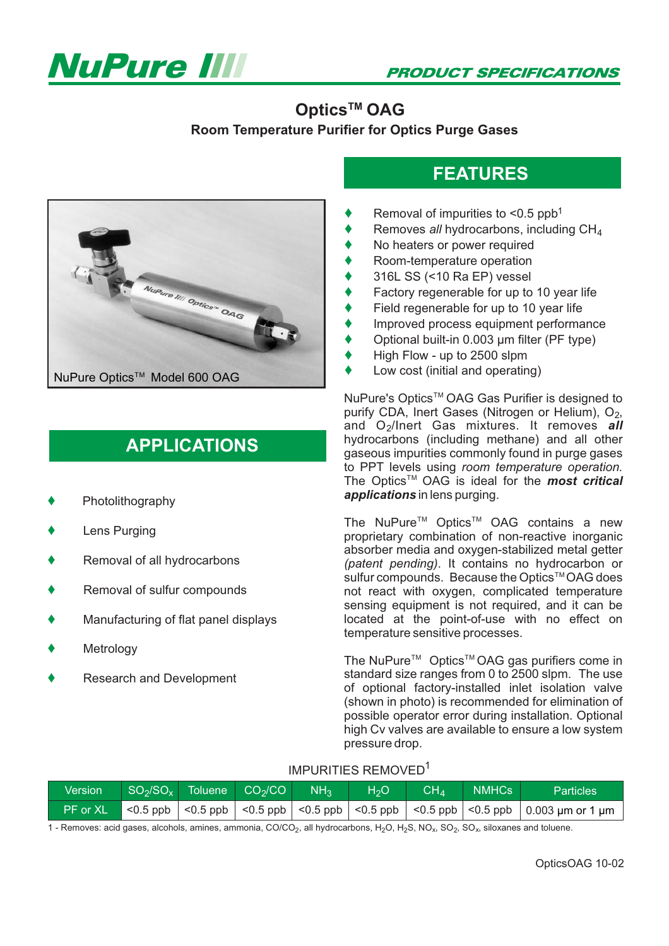

**PRODUCT SPECIFICATIONS** 

## **Optics™ OAG Room Temperature Purifier for Optics Purge Gases**



## **APPLICATIONS**

- $\blacklozenge$ Photolithography
- $\blacklozenge$ Lens Purging
- $\blacklozenge$ Removal of all hydrocarbons
- $\blacklozenge$ Removal of sulfur compounds
- $\blacklozenge$ Manufacturing of flat panel displays
- $\blacklozenge$ Metrology
- $\blacklozenge$ Research and Development

# **FEATURES**

- ♦ Removal of impurities to <0.5 ppb<sup>1</sup>
- ♦ Removes all hydrocarbons, including CH<sub>4</sub>
- No heaters or power required  $\blacklozenge$
- Room-temperature operation  $\blacklozenge$
- 316L SS (<10 Ra EP) vessel  $\blacklozenge$
- Factory regenerable for up to 10 year life  $\blacklozenge$
- Field regenerable for up to 10 year life  $\blacklozenge$
- Improved process equipment performance  $\blacklozenge$
- Optional built-in 0.003 µm filter (PF type)  $\blacklozenge$
- High Flow up to 2500 slpm  $\blacklozenge$
- Low cost (initial and operating)  $\blacklozenge$

NuPure's Optics<sup>™</sup> OAG Gas Purifier is designed to The Optics<sup>™</sup> OAG is ideal for the *most critical* purify CDA, Inert Gases (Nitrogen or Helium),  $O_2$ , and O<sub>2</sub>/Inert Gas mixtures. It removes all hydrocarbons (including methane) and all other gaseous impurities commonly found in purge gases to PPT levels using *room temperature operation.* applications in lens purging.

The NuPure<sup> $TM$ </sup> Optics<sup> $TM$ </sup> OAG contains a new  $\ddot{\text{s}}$ ulfur compounds. Because the Optics<sup>TM</sup> OAG does proprietary combination of non-reactive inorganic absorber media and oxygen-stabilized metal getter (patent pending). It contains no hydrocarbon or not react with oxygen, complicated temperature sensing equipment is not required, and it can be located at the point-of-use with no effect on temperature sensitive processes.

The NuPure<sup>™</sup> Optics<sup>™</sup> OAG gas purifiers come in standard size ranges from 0 to 2500 slpm. The use of optional factory-installed inlet isolation valve (shown in photo) is recommended for elimination of possible operator error during installation. Optional high Cv valves are available to ensure a low system pressure drop.

#### IMPURITIES REMOVED1

| Version  | $\sqrt{SO_2/SO_x}$ Toluene $CO_2/CO$ NH <sub>3</sub> |  | H <sub>2</sub> O | $CH_4$   NMHCs | <b>Particles</b>                                                                                                                                |
|----------|------------------------------------------------------|--|------------------|----------------|-------------------------------------------------------------------------------------------------------------------------------------------------|
| PF or XL |                                                      |  |                  |                | $\vert$ <0.5 ppb $\vert$ <0.5 ppb $\vert$ <0.5 ppb $\vert$ <0.5 ppb $\vert$ <0.5 ppb $\vert$ <0.5 ppb $\vert$ <0.5 ppb $\vert$ 0.003 µm or 1 µm |

1 - Removes: acid gases, alcohols, amines, ammonia, CO/CO<sub>2</sub>, all hydrocarbons, H<sub>2</sub>O, H<sub>2</sub>S, NO<sub>x</sub>, SO<sub>2</sub>, SO<sub>x</sub>, siloxanes and toluene.